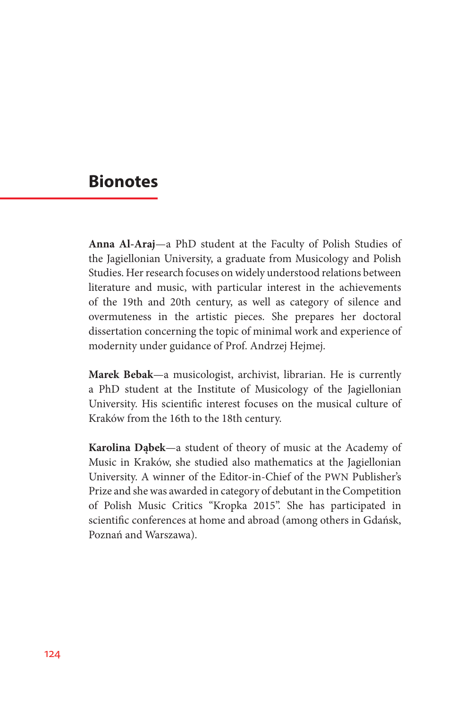## **Bionotes**

**Anna Al-Araj**—a PhD student at the Faculty of Polish Studies of the Jagiellonian University, a graduate from Musicology and Polish Studies. Her research focuses on widely understood relations between literature and music, with particular interest in the achievements of the 19th and 20th century, as well as category of silence and overmuteness in the artistic pieces. She prepares her doctoral dissertation concerning the topic of minimal work and experience of modernity under guidance of Prof. Andrzej Hejmej.

**Marek Bebak**—a musicologist, archivist, librarian. He is currently a PhD student at the Institute of Musicology of the Jagiellonian University. His scientific interest focuses on the musical culture of Kraków from the 16th to the 18th century.

**Karolina Dąbek**—a student of theory of music at the Academy of Music in Kraków, she studied also mathematics at the Jagiellonian University. A winner of the Editor-in-Chief of the PWN Publisher's Prize and she was awarded in category of debutant in the Competition of Polish Music Critics "Kropka 2015". She has participated in scientific conferences at home and abroad (among others in Gdańsk, Poznań and Warszawa).